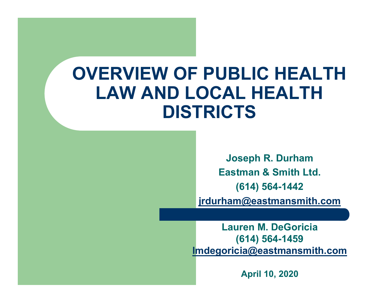### **OVERVIEW OF PUBLIC HEALTH LAW AND LOCAL HEALTH DISTRICTS**

**Joseph R. Durham Eastman & Smith Ltd. (614) 564-1442 jrdurham@eastmansmith.com**

**Lauren M. DeGoricia(614) 564-1459 lmdegoricia@eastmansmith.com**

**April 10, 2020**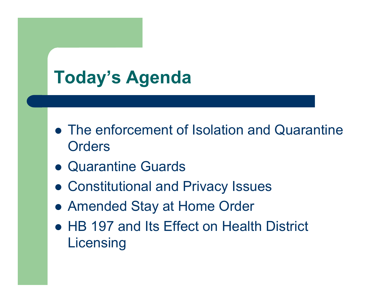### **Today's Agenda**

- The enforcement of Isolation and Quarantine **Orders**
- Quarantine Guards
- Constitutional and Privacy Issues
- Amended Stay at Home Order
- HB 197 and Its Effect on Health District Licensing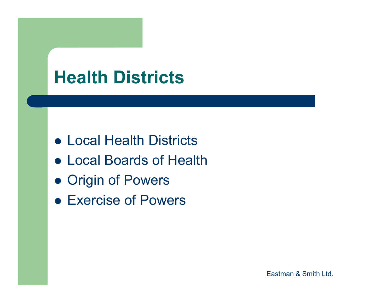### **Health Districts**

- Local Health Districts
- Local Boards of Health
- **Origin of Powers**
- Exercise of Powers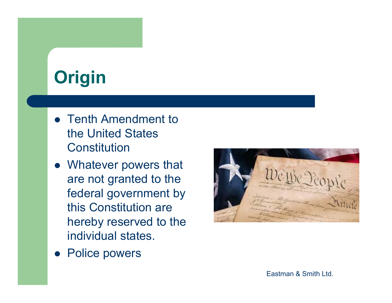## **Origin**

- Tenth Amendment to the United States **Constitution**
- Whatever powers that are not granted to the federal government by this Constitution are hereby reserved to the individual states.



**• Police powers**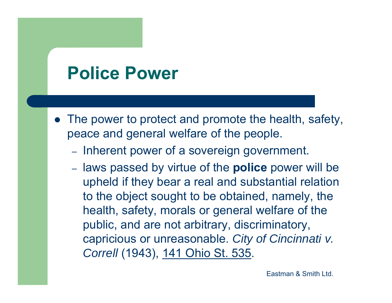### **Police Power**

- The power to protect and promote the health, safety, peace and general welfare of the people.
	- Inherent power of a sovereign government.
	- laws passed by virtue of the **police** power will be upheld if they bear a real and substantial relation to the object sought to be obtained, namely, the health, safety, morals or general welfare of the public, and are not arbitrary, discriminatory, capricious or unreasonable. *City of Cincinnati v. Correll* (1943), 141 Ohio St. 535.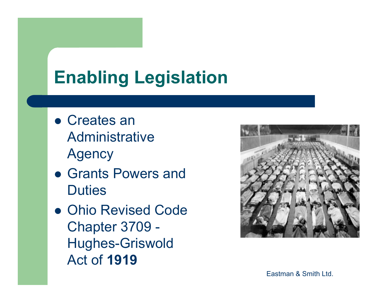## **Enabling Legislation**

- Creates an Administrative Agency
- Grants Powers and **Duties**
- **Ohio Revised Code** Chapter 3709 - Hughes-Griswold Act of **1919**

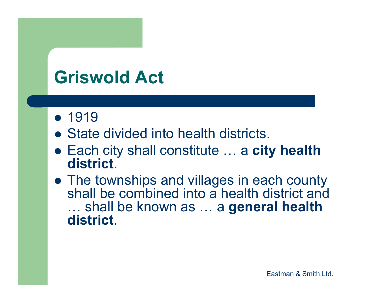### **Griswold Act**

- 1919
- State divided into health districts.
- Each city shall constitute … a **city health district**.
- The townships and villages in each county shall be combined into a health district and … shall be known as … a **general health district**.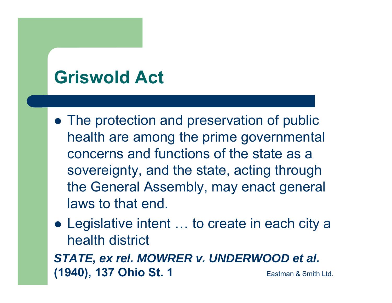### **Griswold Act**

- The protection and preservation of public health are among the prime governmental concerns and functions of the state as a sovereignty, and the state, acting through the General Assembly, may enact general laws to that end.
- Legislative intent … to create in each city a health district *STATE, ex rel. MOWRER v. UNDERWOOD et al.* **(1940), 137 Ohio St. 1 Eastman & Smith Ltd.**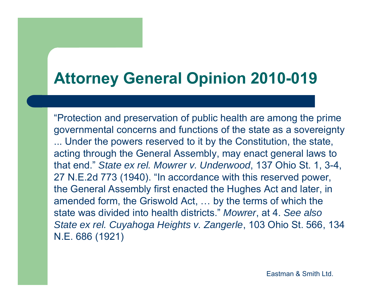### **Attorney General Opinion 2010-019**

"Protection and preservation of public health are among the prime governmental concerns and functions of the state as a sovereignty ... Under the powers reserved to it by the Constitution, the state, acting through the General Assembly, may enact general laws to that end." *State ex rel. Mowrer v. Underwood*, 137 Ohio St. 1, 3-4, 27 N.E.2d 773 (1940). "In accordance with this reserved power, the General Assembly first enacted the Hughes Act and later, in amended form, the Griswold Act, … by the terms of which the state was divided into health districts." *Mowrer*, at 4. *See also State ex rel. Cuyahoga Heights v. Zangerle*, 103 Ohio St. 566, 134 N.E. 686 (1921)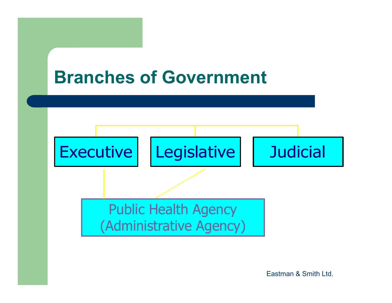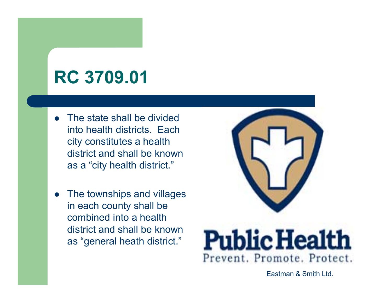### **RC 3709.01**

- $\bullet$  The state shall be divided into health districts. Each city constitutes a health district and shall be known as a "city health district."
- $\bullet$  The townships and villages in each county shall be combined into a health district and shall be known as "general heath district."



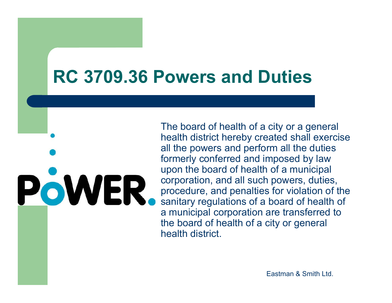### **RC 3709.36 Powers and Duties**

The board of health of a city or a general health district hereby created shall exercise all the powers and perform all the duties formerly conferred and imposed by law upon the board of health of a municipal POWER. corporation, and all such powers, duties, procedure, and penalties for violation of the sanitary regulations of a board of health of a municipal corporation are transferred to the board of health of a city or general health district.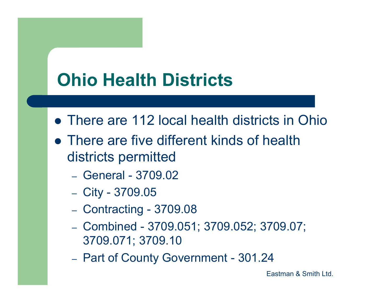## **Ohio Health Districts**

- **There are 112 local health districts in Ohio**
- There are five different kinds of health districts permitted
	- General 3709.02
	- City 3709.05
	- Contracting 3709.08
	- Combined 3709.051; 3709.052; 3709.07; 3709.071; 3709.10
	- –- Part of County Government - 301.24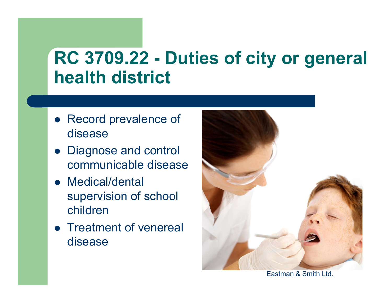### **RC 3709.22 - Duties of city or general health district**

- Record prevalence of disease
- Diagnose and control communicable disease
- Medical/dental supervision of school children
- Treatment of venereal disease

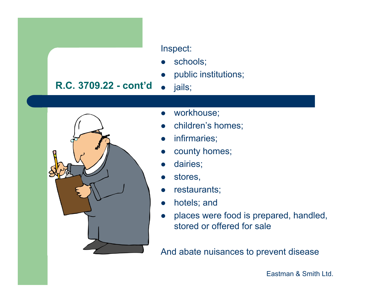

#### Inspect:

 $\bullet$ schools;

jails;

 $\bullet$ public institutions;

#### $\bullet$

- $\bullet$ workhouse;
- $\bullet$ children's homes;
- $\bullet$ infirmaries;
- $\bullet$ county homes;
- $\bullet$ dairies;
- $\bullet$ stores,
- $\bullet$ restaurants;
- $\bullet$ hotels; and
- $\bullet$  places were food is prepared, handled, stored or offered for sale

And abate nuisances to prevent disease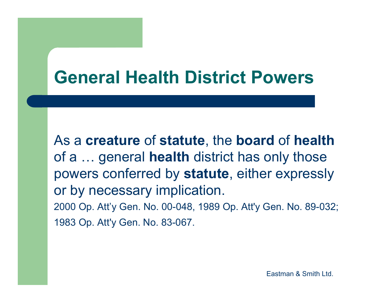### **General Health District Powers**

As a **creature** of **statute**, the **board** of **health** of a … general **health** district has only those powers conferred by **statute**, either expressly or by necessary implication. 2000 Op. Att'y Gen. No. 00-048, 1989 Op. Att'y Gen. No. 89-032; 1983 Op. Att'y Gen. No. 83-067.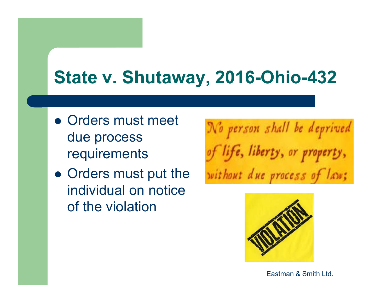### **State v. Shutaway, 2016-Ohio-432**

- Orders must meet due process requirements
- Orders must put the individual on notice of the violation

No person shall be deprived of life, liberty, or property, without due process of law;

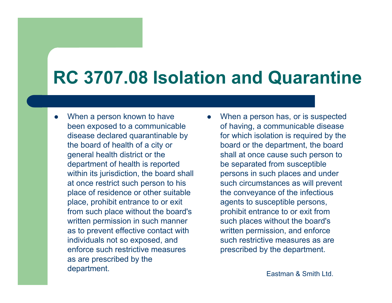## **RC 3707.08 Isolation and Quarantine**

 $\bullet$ 

- $\bullet$  When a person known to have been exposed to a communicable disease declared quarantinable by the board of health of a city or general health district or the department of health is reported within its jurisdiction, the board shall at once restrict such person to his place of residence or other suitable place, prohibit entrance to or exit from such place without the board's written permission in such manner as to prevent effective contact with individuals not so exposed, and enforce such restrictive measures as are prescribed by the department.
- When a person has, or is suspected of having, a communicable disease for which isolation is required by the board or the department, the board shall at once cause such person to be separated from susceptible persons in such places and under such circumstances as will prevent the conveyance of the infectious agents to susceptible persons, prohibit entrance to or exit from such places without the board's written permission, and enforce such restrictive measures as are prescribed by the department.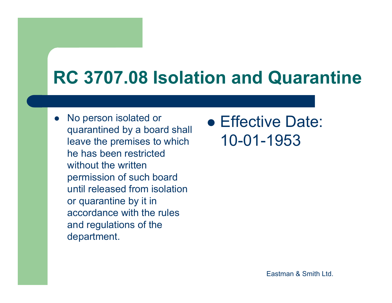### **RC 3707.08 Isolation and Quarantine**

 $\bullet$  No person isolated or quarantined by a board shall leave the premises to which he has been restricted without the written permission of such board until released from isolation or quarantine by it in accordance with the rules and regulations of the department.

**• Effective Date:** 10-01-1953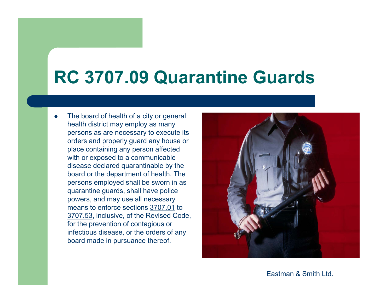### **RC 3707.09 Quarantine Guards**

 $\bullet$  The board of health of a city or general health district may employ as many persons as are necessary to execute its orders and properly guard any house or place containing any person affected with or exposed to a communicable disease declared quarantinable by the board or the department of health. The persons employed shall be sworn in as quarantine guards, shall have police powers, and may use all necessary means to enforce sections 3707.01 to 3707.53, inclusive, of the Revised Code, for the prevention of contagious or infectious disease, or the orders of any board made in pursuance thereof.



Eastman & Smith Ltd.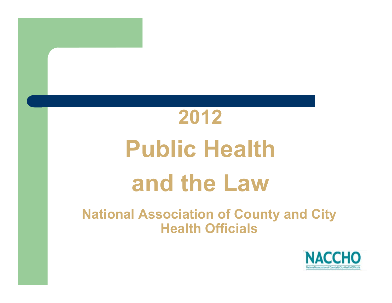# **2012Public Health and the Law**

**National Association of County and City Health Officials** 

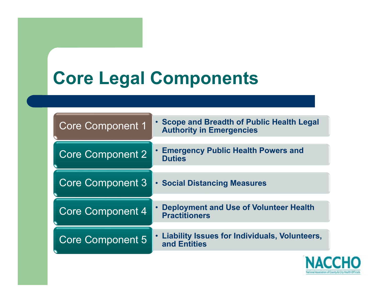### **Core Legal Components**

| <b>Core Component 1</b> | . Scope and Breadth of Public Health Legal<br><b>Authority in Emergencies</b> |
|-------------------------|-------------------------------------------------------------------------------|
| <b>Core Component 2</b> | <b>Emergency Public Health Powers and</b><br><b>Duties</b>                    |
| <b>Core Component 3</b> | <b>· Social Distancing Measures</b>                                           |
| <b>Core Component 4</b> | Deployment and Use of Volunteer Health<br><b>Practitioners</b>                |
| <b>Core Component 5</b> | Liability Issues for Individuals, Volunteers,<br>and Entities                 |

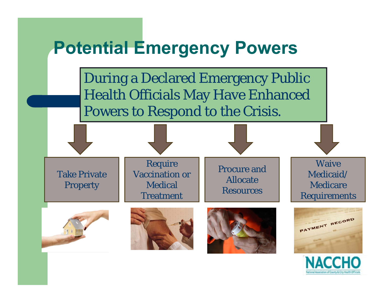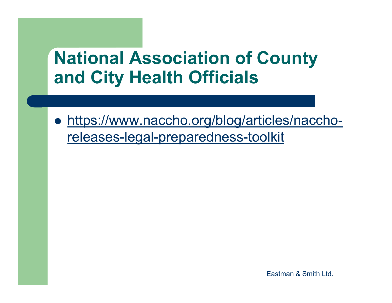### **National Association of County and City Health Officials**

 https://www.naccho.org/blog/articles/nacchoreleases-legal-preparedness-toolkit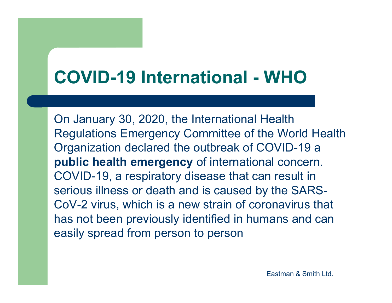## **COVID-19 International - WHO**

On January 30, 2020, the International Health Regulations Emergency Committee of the World Health Organization declared the outbreak of COVID-19 a **public health emergency** of international concern. COVID-19, a respiratory disease that can result in serious illness or death and is caused by the SARS-CoV-2 virus, which is a new strain of coronavirus that has not been previously identified in humans and can easily spread from person to person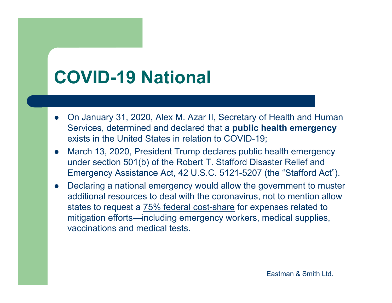### **COVID-19 National**

- $\bullet$  On January 31, 2020, Alex M. Azar II, Secretary of Health and Human Services, determined and declared that a **public health emergency**  exists in the United States in relation to COVID-19;
- $\bullet$  March 13, 2020, President Trump declares public health emergency under section 501(b) of the Robert T. Stafford Disaster Relief and Emergency Assistance Act, 42 U.S.C. 5121-5207 (the "Stafford Act").
- $\bullet$  Declaring a national emergency would allow the government to muster additional resources to deal with the coronavirus, not to mention allow states to request a 75% federal cost-share for expenses related to mitigation efforts—including emergency workers, medical supplies, vaccinations and medical tests.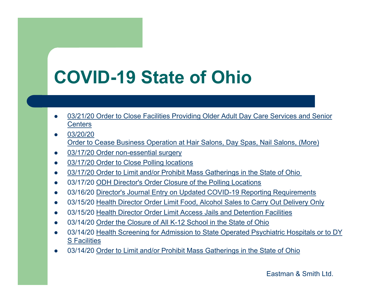## **COVID-19 State of Ohio**

- $\bullet$  03/21/20 Order to Close Facilities Providing Older Adult Day Care Services and Senior **Centers**
- $\bullet$  03/20/20 Order to Cease Business Operation at Hair Salons, Day Spas, Nail Salons, (More)
- $\bullet$ 03/17/20 Order non-essential surgery
- $\bullet$ 03/17/20 Order to Close Polling locations
- $\bullet$ • 03/17/20 Order to Limit and/or Prohibit Mass Gatherings in the State of Ohio
- $\bullet$ 03/17/20 ODH Director's Order Closure of the Polling Locations
- $\bullet$ 03/16/20 Director's Journal Entry on Updated COVID-19 Reporting Requirements
- $\bullet$ 03/15/20 Health Director Order Limit Food, Alcohol Sales to Carry Out Delivery Only
- $\bullet$ 03/15/20 Health Director Order Limit Access Jails and Detention Facilities
- $\bullet$ 03/14/20 Order the Closure of All K-12 School in the State of Ohio
- $\bullet$  03/14/20 Health Screening for Admission to State Operated Psychiatric Hospitals or to DY S Facilities
- $\bullet$ • 03/14/20 Order to Limit and/or Prohibit Mass Gatherings in the State of Ohio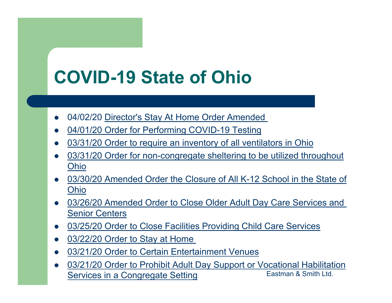### **COVID-19 State of Ohio**

- $\bullet$ 04/02/20 Director's Stay At Home Order Amended
- $\bullet$ 04/01/20 Order for Performing COVID-19 Testing
- $\bullet$ • 03/31/20 Order to require an inventory of all ventilators in Ohio
- $\bullet$  03/31/20 Order for non-congregate sheltering to be utilized throughout Ohio
- $\bullet$ 03/30/20 Amended Order the Closure of All K-12 School in the State of Ohio
- $\bullet$  03/26/20 Amended Order to Close Older Adult Day Care Services and Senior Centers
- $\bullet$ 03/25/20 Order to Close Facilities Providing Child Care Services
- $\bullet$ 03/22/20 Order to Stay at Home
- $\bullet$ 03/21/20 Order to Certain Entertainment Venues
- $\bullet$  03/21/20 Order to Prohibit Adult Day Support or Vocational Habilitation Services in a Congregate Setting Eastman & Smith Ltd.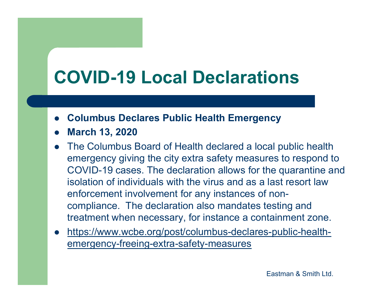## **COVID-19 Local Declarations**

- $\bullet$ **Columbus Declares Public Health Emergency**
- $\bullet$ **March 13, 2020**
- The Columbus Board of Health declared a local public health emergency giving the city extra safety measures to respond to COVID-19 cases. The declaration allows for the quarantine and isolation of individuals with the virus and as a last resort law enforcement involvement for any instances of noncompliance. The declaration also mandates testing and treatment when necessary, for instance a containment zone.
- $\bullet$  https://www.wcbe.org/post/columbus-declares-public-healthemergency-freeing-extra-safety-measures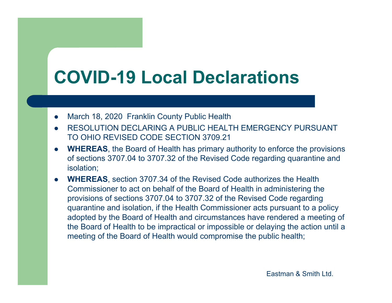## **COVID-19 Local Declarations**

- $\bullet$ March 18, 2020 Franklin County Public Health
- 0 RESOLUTION DECLARING A PUBLIC HEALTH EMERGENCY PURSUANT TO OHIO REVISED CODE SECTION 3709.21
- $\bullet$  **WHEREAS**, the Board of Health has primary authority to enforce the provisions of sections 3707.04 to 3707.32 of the Revised Code regarding quarantine and isolation;
- $\bullet$  **WHEREAS**, section 3707.34 of the Revised Code authorizes the Health Commissioner to act on behalf of the Board of Health in administering the provisions of sections 3707.04 to 3707.32 of the Revised Code regarding quarantine and isolation, if the Health Commissioner acts pursuant to a policy adopted by the Board of Health and circumstances have rendered a meeting of the Board of Health to be impractical or impossible or delaying the action until a meeting of the Board of Health would compromise the public health;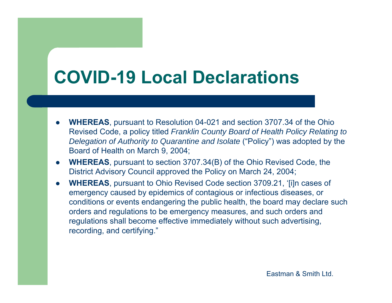### **COVID-19 Local Declarations**

- 0 **WHEREAS**, pursuant to Resolution 04-021 and section 3707.34 of the Ohio Revised Code, a policy titled *Franklin County Board of Health Policy Relating to Delegation of Authority to Quarantine and Isolate* ("Policy") was adopted by the Board of Health on March 9, 2004;
- **WHEREAS**, pursuant to section 3707.34(B) of the Ohio Revised Code, the District Advisory Council approved the Policy on March 24, 2004;
- 0 **WHEREAS**, pursuant to Ohio Revised Code section 3709.21, '[i]n cases of emergency caused by epidemics of contagious or infectious diseases, or conditions or events endangering the public health, the board may declare such orders and regulations to be emergency measures, and such orders and regulations shall become effective immediately without such advertising, recording, and certifying."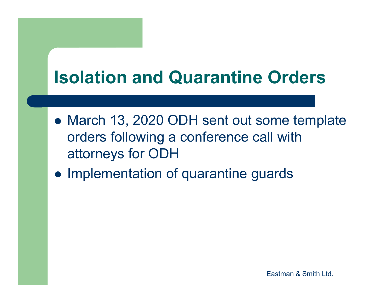### **Isolation and Quarantine Orders**

- March 13, 2020 ODH sent out some template orders following a conference call with attorneys for ODH
- Implementation of quarantine guards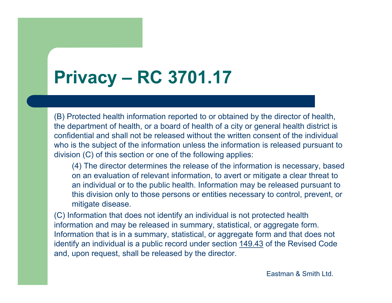## **Privacy – RC 3701.17**

(B) Protected health information reported to or obtained by the director of health, the department of health, or a board of health of a city or general health district is confidential and shall not be released without the written consent of the individual who is the subject of the information unless the information is released pursuant to division (C) of this section or one of the following applies:

(4) The director determines the release of the information is necessary, based on an evaluation of relevant information, to avert or mitigate a clear threat to an individual or to the public health. Information may be released pursuant to this division only to those persons or entities necessary to control, prevent, or mitigate disease.

(C) Information that does not identify an individual is not protected health information and may be released in summary, statistical, or aggregate form. Information that is in a summary, statistical, or aggregate form and that does not identify an individual is a public record under section 149.43 of the Revised Code and, upon request, shall be released by the director.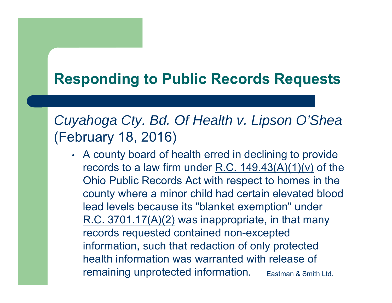### **Responding to Public Records Requests**

### *Cuyahoga Cty. Bd. Of Health v. Lipson O'Shea*  (February 18, 2016)

• A county board of health erred in declining to provide records to a law firm under R.C.  $149.43(A)(1)(v)$  of the Ohio Public Records Act with respect to homes in the county where a minor child had certain elevated blood lead levels because its "blanket exemption" under R.C. 3701.17(A)(2) was inappropriate, in that many records requested contained non-excepted information, such that redaction of only protected health information was warranted with release of remaining unprotected information. Eastman & Smith Ltd.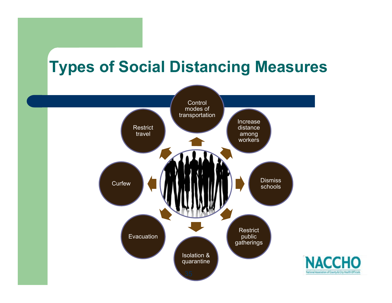### **Types of Social Distancing Measures**

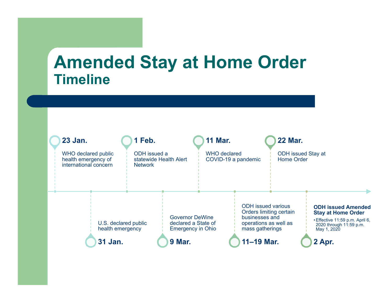### **Amended Stay at Home Order Timeline**

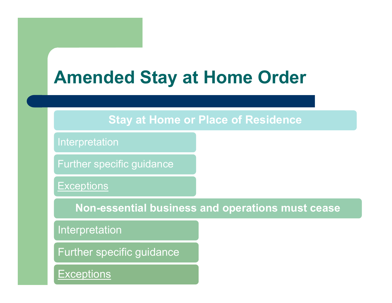### **Amended Stay at Home Order**

#### **Stay at Home or Place of Residence**

Interpretation

Further specific guidance

**Exceptions** 

**Non-essential business and operations must cease**

Interpretation

Further specific guidance

**Exceptions**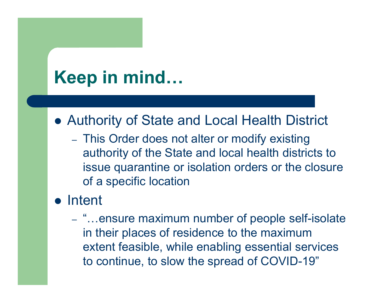### **Keep in mind…**

Authority of State and Local Health District

- This Order does not alter or modify existing authority of the State and local health districts to issue quarantine or isolation orders or the closure of a specific location

### • Intent

- "...ensure maximum number of people self-isolate in their places of residence to the maximum extent feasible, while enabling essential services to continue, to slow the spread of COVID-19"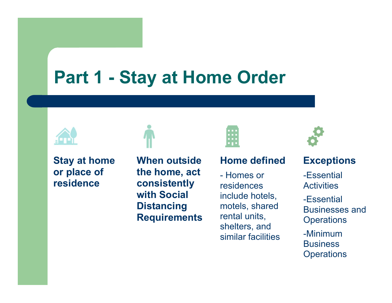### **Part 1 - Stay at Home Order**



**Stay at home or place of residence**

**When outside the home, act consistently with Social Distancing Requirements**



#### **Home defined**

- Homes or residences include hotels, motels, shared rental units, shelters, and similar facilities



#### **Exceptions**

-Essential **Activities** 

-Essential Businesses and **Operations** 

-Minimum **Business Operations**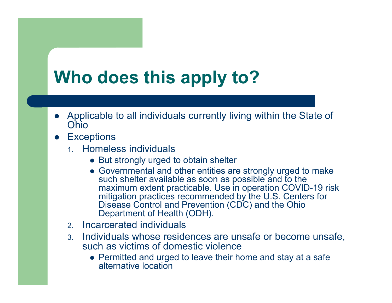## **Who does this apply to?**

- Applicable to all individuals currently living within the State of Ohio
- $\bullet$ **Exceptions** 
	- 1. Homeless individuals
		- But strongly urged to obtain shelter
		- Governmental and other entities are strongly urged to make such shelter available as soon as possible and to the maximum extent practicable. Use in operation COVID-19 risk mitigation practices recommended by the U.S. Centers for Disease Control and Prevention (CDC) and the Ohio Department of Health (ODH).
	- 2. Incarcerated individuals
	- 3. Individuals whose residences are unsafe or become unsafe, such as victims of domestic violence
		- Permitted and urged to leave their home and stay at a safe alternative location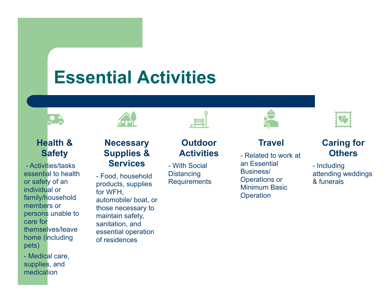### **Essential Activities**



#### **Health & Safety**

- Activities/tasks essential to health or safety of an individual or family/household members or persons unable to care for themselves/leave home (including pets)

- Medical care, supplies, and medication



#### **Necessary Supplies & Services**

- Food, household products, supplies for WFH, automobile/ boat, or those necessary to maintain safety, sanitation, and essential operation of residences

#### **Outdoor Activities**

- With Social **Distancing Requirements** 



#### **Travel**

- Related to work at an Essential Business/ Operations or Minimum Basic **Operation** 



#### **Caring for Others**

- Including attending weddings & funerals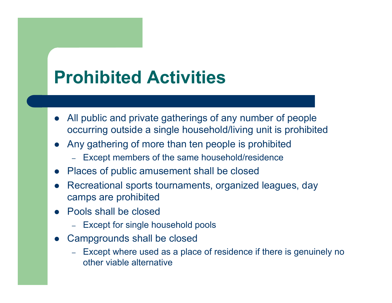### **Prohibited Activities**

- $\bullet$  All public and private gatherings of any number of people occurring outside a single household/living unit is prohibited
- Any gathering of more than ten people is prohibited
	- Except members of the same household/residence
- $\bullet$ Places of public amusement shall be closed
- $\bullet$  Recreational sports tournaments, organized leagues, day camps are prohibited
- Pools shall be closed
	- –Except for single household pools
- $\bullet$  Campgrounds shall be closed
	- – Except where used as a place of residence if there is genuinely no other viable alternative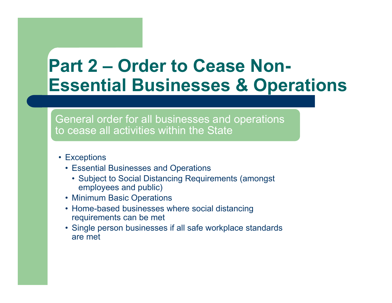### **Part 2 – Order to Cease Non-Essential Businesses & Operations**

General order for all businesses and operations to cease all activities within the State

- Exceptions
	- Essential Businesses and Operations
		- Subject to Social Distancing Requirements (amongst employees and public)
	- Minimum Basic Operations
	- Home-based businesses where social distancing requirements can be met
	- Single person businesses if all safe workplace standards are met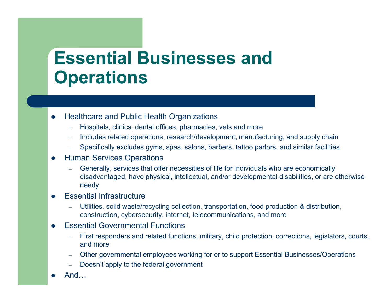### **Essential Businesses and Operations**

- $\bullet$  Healthcare and Public Health Organizations
	- Hospitals, clinics, dental offices, pharmacies, vets and more
	- Includes related operations, research/development, manufacturing, and supply chain
	- Specifically excludes gyms, spas, salons, barbers, tattoo parlors, and similar facilities

#### $\bullet$ Human Services Operations

 Generally, services that offer necessities of life for individuals who are economically disadvantaged, have physical, intellectual, and/or developmental disabilities, or are otherwise needy

#### $\bullet$ Essential Infrastructure

- Utilities, solid waste/recycling collection, transportation, food production & distribution, construction, cybersecurity, internet, telecommunications, and more
- $\bullet$  Essential Governmental Functions
	- First responders and related functions, military, child protection, corrections, legislators, courts, and more
	- Other governmental employees working for or to support Essential Businesses/Operations
	- Doesn't apply to the federal government
- $\bullet$ And…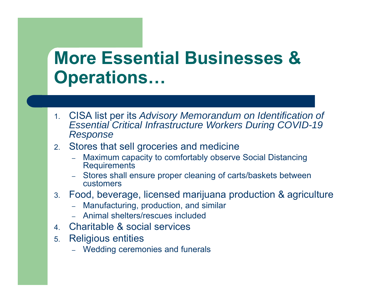- 1. CISA list per its *Advisory Memorandum on Identification of Essential Critical Infrastructure Workers During COVID-19 Response*
- 2. Stores that sell groceries and medicine
	- Maximum capacity to comfortably observe Social Distancing **Requirements**
	- – Stores shall ensure proper cleaning of carts/baskets between customers
- 3. Food, beverage, licensed marijuana production & agriculture
	- Manufacturing, production, and similar
	- Animal shelters/rescues included
- 4. Charitable & social services
- 5. Religious entities
	- Wedding ceremonies and funerals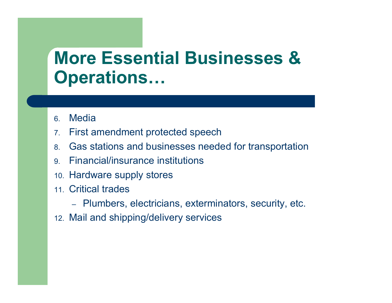- 6.**Media**
- 7.First amendment protected speech
- 8.Gas stations and businesses needed for transportation
- 9.Financial/insurance institutions
- 10. Hardware supply stores
- 11. Critical trades
	- Plumbers, electricians, exterminators, security, etc.
- 12. Mail and shipping/delivery services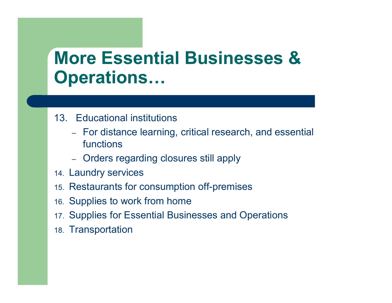- 13. Educational institutions
	- For distance learning, critical research, and essential functions
	- Orders regarding closures still apply
- 14. Laundry services
- 15. Restaurants for consumption off-premises
- 16. Supplies to work from home
- 17. Supplies for Essential Businesses and Operations
- 18. Transportation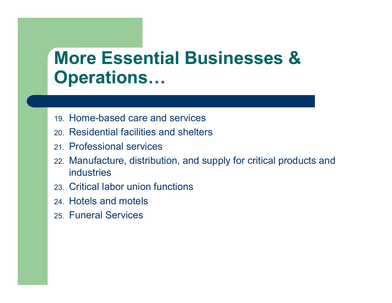- 19. Home-based care and services
- 20. Residential facilities and shelters
- 21. Professional services
- 22. Manufacture, distribution, and supply for critical products and industries
- 23. Critical labor union functions
- 24. Hotels and motels
- 25. Funeral Services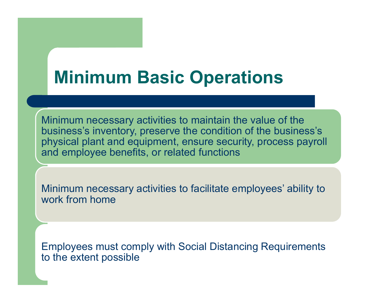### **Minimum Basic Operations**

Minimum necessary activities to maintain the value of the business's inventory, preserve the condition of the business's physical plant and equipment, ensure security, process payroll and employee benefits, or related functions

Minimum necessary activities to facilitate employees' ability to work from home

Employees must comply with Social Distancing Requirements to the extent possible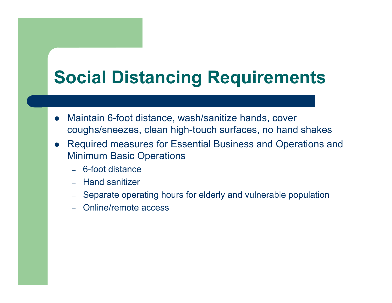### **Social Distancing Requirements**

- $\bullet$  Maintain 6-foot distance, wash/sanitize hands, cover coughs/sneezes, clean high-touch surfaces, no hand shakes
- $\bullet$  Required measures for Essential Business and Operations and Minimum Basic Operations
	- 6-foot distance
	- Hand sanitizer
	- –Separate operating hours for elderly and vulnerable population
	- –Online/remote access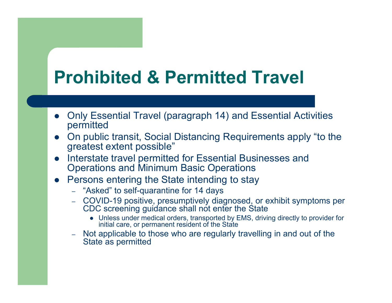### **Prohibited & Permitted Travel**

- $\bullet$  Only Essential Travel (paragraph 14) and Essential Activities permitted
- $\bullet$  On public transit, Social Distancing Requirements apply "to the greatest extent possible"
- $\bullet$  Interstate travel permitted for Essential Businesses and Operations and Minimum Basic Operations
- $\bullet$  Persons entering the State intending to stay
	- "Asked" to self-quarantine for 14 days
	- COVID-19 positive, presumptively diagnosed, or exhibit symptoms per CDC screening guidance shall not enter the State
		- Unless under medical orders, transported by EMS, driving directly to provider for initial care, or permanent resident of the State
	- Not applicable to those who are regularly travelling in and out of the State as permitted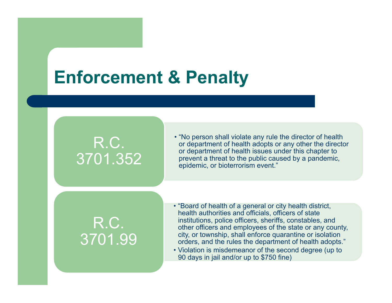### **Enforcement & Penalty**

### R.C. 3701.352

• "No person shall violate any rule the director of health or department of health adopts or any other the director or department of health issues under this chapter to prevent a threat to the public caused by a pandemic, epidemic, or bioterrorism event."

R.C. 3701.99

- "Board of health of a general or city health district, health authorities and officials, officers of state institutions, police officers, sheriffs, constables, and other officers and employees of the state or any county, city, or township, shall enforce quarantine or isolation orders, and the rules the department of health adopts."
- Violation is misdemeanor of the second degree (up to 90 days in jail and/or up to \$750 fine)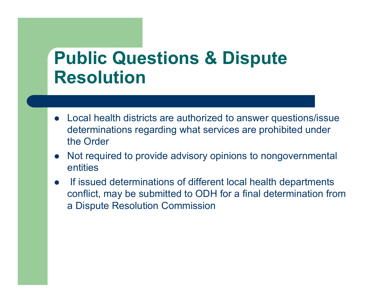### **Public Questions & Dispute Resolution**

- Local health districts are authorized to answer questions/issue determinations regarding what services are prohibited under the Order
- $\bullet$  Not required to provide advisory opinions to nongovernmental entities
- $\bullet$  If issued determinations of different local health departments conflict, may be submitted to ODH for a final determination from a Dispute Resolution Commission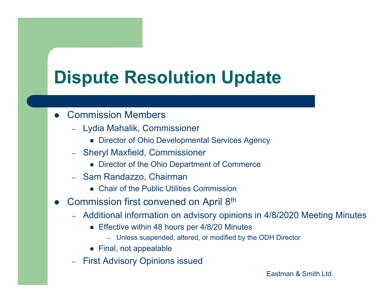## **Dispute Resolution Update**

#### $\bullet$ Commission Members

- Lydia Mahalik, Commissioner
	- Director of Ohio Developmental Services Agency
- – Sheryl Maxfield, Commissioner
	- Director of the Ohio Department of Commerce
- – Sam Randazzo, Chairman
	- Chair of the Public Utilities Commission
- $\bullet$  Commission first convened on April 8th
	- Additional information on advisory opinions in 4/8/2020 Meeting Minutes
		- Effective within 48 hours per 4/8/20 Minutes
			- Unless suspended, altered, or modified by the ODH Director
		- Final, not appealable
	- –First Advisory Opinions issued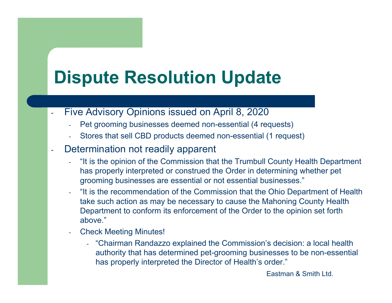## **Dispute Resolution Update**

- - Five Advisory Opinions issued on April 8, 2020
	- Pet grooming businesses deemed non-essential (4 requests)
	- Stores that sell CBD products deemed non-essential (1 request)
- - Determination not readily apparent
	- "It is the opinion of the Commission that the Trumbull County Health Department has properly interpreted or construed the Order in determining whether pet grooming businesses are essential or not essential businesses."
	- "It is the recommendation of the Commission that the Ohio Department of Health take such action as may be necessary to cause the Mahoning County Health Department to conform its enforcement of the Order to the opinion set forth above."
	- Check Meeting Minutes!
		- "Chairman Randazzo explained the Commission's decision: a local health authority that has determined pet-grooming businesses to be non-essential has properly interpreted the Director of Health's order."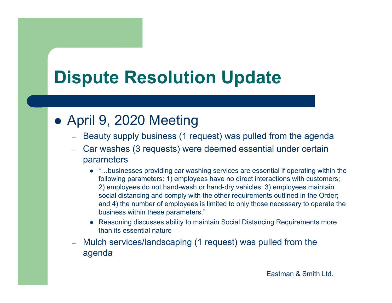### **Dispute Resolution Update**

### April 9, 2020 Meeting

- $\equiv -$ Beauty supply business (1 request) was pulled from the agenda
- – Car washes (3 requests) were deemed essential under certain parameters
	- "…businesses providing car washing services are essential if operating within the following parameters: 1) employees have no direct interactions with customers; 2) employees do not hand-wash or hand-dry vehicles; 3) employees maintain social distancing and comply with the other requirements outlined in the Order; and 4) the number of employees is limited to only those necessary to operate the business within these parameters."
	- Reasoning discusses ability to maintain Social Distancing Requirements more than its essential nature
- – Mulch services/landscaping (1 request) was pulled from the agenda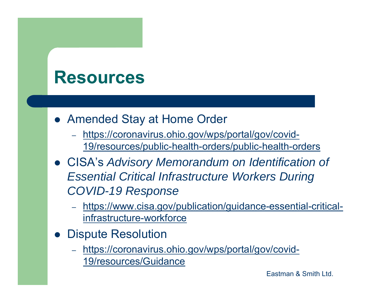### **Resources**

- Amended Stay at Home Order
	- – https://coronavirus.ohio.gov/wps/portal/gov/covid-19/resources/public-health-orders/public-health-orders
- CISA's *Advisory Memorandum on Identification of Essential Critical Infrastructure Workers During COVID-19 Response*
	- – https://www.cisa.gov/publication/guidance-essential-criticalinfrastructure-workforce
- $\bullet$  Dispute Resolution
	- – https://coronavirus.ohio.gov/wps/portal/gov/covid-19/resources/Guidance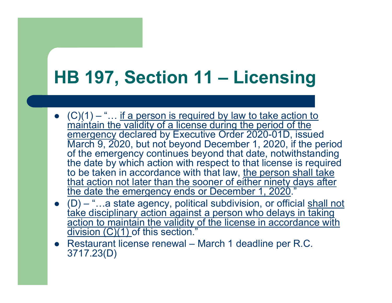### **HB 197, Section 11 – Licensing**

- $\bullet$   $(C)(1) -$  "... if a person is required by law to take action to maintain the validity of a license during the period of the emergency declared by Executive Order 2020-01D, issued March 9, 2020, but not beyond December 1, 2020, if the period of the emergency continues beyond that date, notwithstanding the date by which action with respect to that license is required to be taken in accordance with that law, the person shall take that action not later than the sooner of either ninety days after the date the emergency ends or December 1, 2020."
- $\bullet$  (D) "...a state agency, political subdivision, or official shall not take disciplinary action against a person who delays in taking action to maintain the validity of the license in accordance with division (C)(1) of this section."
- Restaurant license renewal March 1 deadline per R.C. 3717.23(D)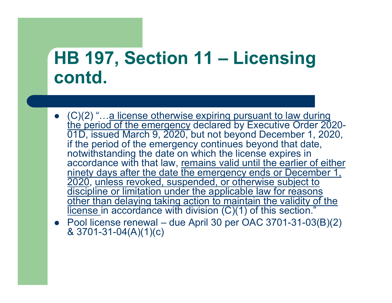### **HB 197, Section 11 – Licensing contd.**

- (C)(2) "...a license otherwise expiring pursuant to law during the period of the emergency declared by Executive Order 2020- 01D, issued March 9, 2020, but not beyond December 1, 2020, if the period of the emergency continues beyond that date, notwithstanding the date on which the license expires in accordance with that law, remains valid until the earlier of either ninety days after the date the emergency ends or December 1, 2020, unless revoked, suspended, or otherwise subject to discipline or limitation under the applicable law for reasons other than delaying taking action to maintain the validity of the <u>license i</u>n accordance with division (C)(1) of this section."
- Pool license renewal due April 30 per OAC 3701-31-03(B)(2) & 3701-31-04(A)(1)(c)